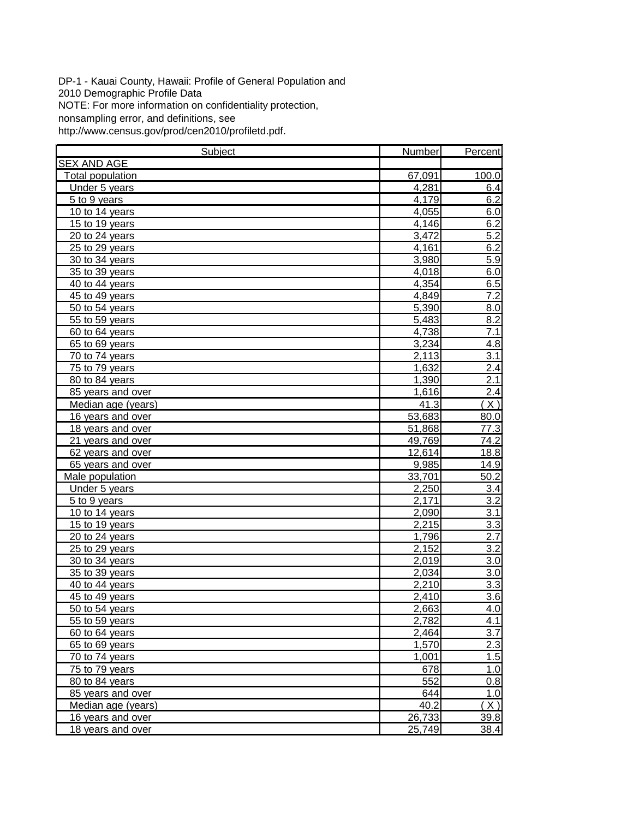DP-1 - Kauai County, Hawaii: Profile of General Population and 2010 Demographic Profile Data NOTE: For more information on confidentiality protection, nonsampling error, and definitions, see http://www.census.gov/prod/cen2010/profiletd.pdf.

| Subject            | Number | Percent          |
|--------------------|--------|------------------|
| <b>SEX AND AGE</b> |        |                  |
| Total population   | 67,091 | 100.0            |
| Under 5 years      | 4,281  | 6.4              |
| 5 to 9 years       | 4,179  | 6.2              |
| 10 to 14 years     | 4,055  | 6.0              |
| 15 to 19 years     | 4,146  | 6.2              |
| 20 to 24 years     | 3,472  | 5.2              |
| 25 to 29 years     | 4,161  | 6.2              |
| 30 to 34 years     | 3,980  | 5.9              |
| 35 to 39 years     | 4,018  | 6.0              |
| 40 to 44 years     | 4,354  | 6.5              |
| 45 to 49 years     | 4,849  | 7.2              |
| 50 to 54 years     | 5,390  | 8.0              |
| 55 to 59 years     | 5,483  | 8.2              |
| 60 to 64 years     | 4,738  | $\overline{7.1}$ |
| 65 to 69 years     | 3,234  | 4.8              |
| 70 to 74 years     | 2,113  | 3.1              |
| 75 to 79 years     | 1,632  | 2.4              |
| 80 to 84 years     | 1,390  | 2.1              |
| 85 years and over  | 1,616  | 2.4              |
| Median age (years) | 41.3   | $\overline{X}$   |
| 16 years and over  | 53,683 | 80.0             |
| 18 years and over  | 51,868 | 77.3             |
| 21 years and over  | 49,769 | 74.2             |
| 62 years and over  | 12,614 | 18.8             |
| 65 years and over  | 9,985  | 14.9             |
| Male population    | 33,701 | 50.2             |
| Under 5 years      | 2,250  | 3.4              |
| 5 to 9 years       | 2,171  | 3.2              |
| 10 to 14 years     | 2,090  | 3.1              |
| 15 to 19 years     | 2,215  | 3.3              |
| 20 to 24 years     | 1,796  | $\overline{2.7}$ |
| 25 to 29 years     | 2,152  | $\overline{3.2}$ |
| 30 to 34 years     | 2,019  | 3.0              |
| 35 to 39 years     | 2,034  | 3.0              |
| 40 to 44 years     | 2,210  | $\overline{3.3}$ |
| 45 to 49 years     | 2,410  | 3.6              |
| 50 to 54 years     | 2,663  | 4.0              |
| 55 to 59 years     | 2,782  | 4.1              |
| 60 to 64 years     | 2,464  | 3.7              |
| 65 to 69 years     | 1,570  | 2.3              |
| 70 to 74 years     | 1,001  | 1.5              |
| 75 to 79 years     | 678    | 1.0              |
| 80 to 84 years     | 552    | 0.8              |
| 85 years and over  | 644    | 1.0              |
| Median age (years) | 40.2   | X)               |
| 16 years and over  | 26,733 | 39.8             |
| 18 years and over  | 25,749 | 38.4             |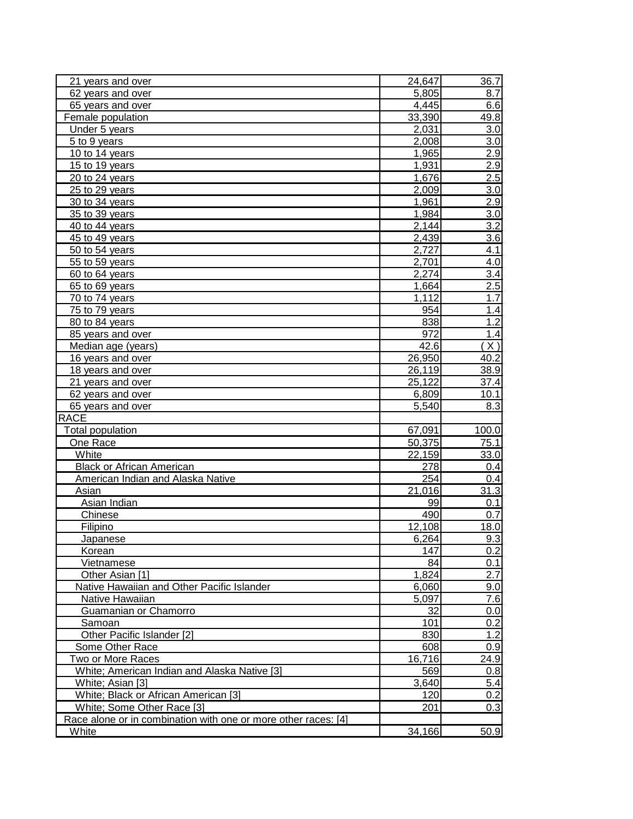| 21 years and over                                              | 24,647             | 36.7           |
|----------------------------------------------------------------|--------------------|----------------|
| 62 years and over                                              | 5,805              | 8.7            |
| 65 years and over                                              | 4,445              | 6.6            |
| Female population                                              | 33,390             | 49.8           |
| Under 5 years                                                  | 2,031              | 3.0            |
| 5 to 9 years                                                   | 2,008              | 3.0            |
| 10 to 14 years                                                 | 1,965              | 2.9            |
| 15 to 19 years                                                 | $\overline{1,931}$ | 2.9            |
| 20 to 24 years                                                 | 1,676              | 2.5            |
| 25 to 29 years                                                 | 2,009              | 3.0            |
| 30 to 34 years                                                 | 1,961              | 2.9            |
| 35 to 39 years                                                 | 1,984              | 3.0            |
| 40 to 44 years                                                 | 2,144              | 3.2            |
| 45 to 49 years                                                 | 2,439              | 3.6            |
| 50 to 54 years                                                 | 2,727              | 4.1            |
| 55 to 59 years                                                 | 2,701              | 4.0            |
| 60 to 64 years                                                 | 2,274              | 3.4            |
| 65 to 69 years                                                 | 1,664              | 2.5            |
| 70 to 74 years                                                 | 1,112              | 1.7            |
| 75 to 79 years                                                 | 954                | 1.4            |
| 80 to 84 years                                                 | 838                | 1.2            |
| 85 years and over                                              | 972                | 1.4            |
| Median age (years)                                             | 42.6               | $\overline{X}$ |
| 16 years and over                                              | 26,950             | 40.2           |
| 18 years and over                                              | 26,119             | 38.9           |
| 21 years and over                                              | 25,122             | 37.4           |
| 62 years and over                                              | 6,809              | 10.1           |
| 65 years and over                                              | 5,540              | 8.3            |
| <b>RACE</b>                                                    |                    |                |
| <b>Total population</b>                                        | 67,091             | 100.0          |
| One Race                                                       | 50,375             | 75.1           |
| White                                                          | 22,159             | 33.0           |
| <b>Black or African American</b>                               | 278                | 0.4            |
| American Indian and Alaska Native                              | 254                | 0.4            |
| Asian                                                          | 21,016             | 31.3           |
| Asian Indian                                                   | 99                 | 0.1            |
| Chinese                                                        | 490                | 0.7            |
| Filipino                                                       | 12,108             | 18.0           |
| <b>Japanese</b>                                                | 6,264              | 9.3            |
| Korean                                                         | 147                | 0.2            |
| Vietnamese                                                     | 84                 | 0.1            |
| Other Asian [1]                                                | 1,824              | 2.7            |
| Native Hawaiian and Other Pacific Islander                     | 6,060              | 9.0            |
| Native Hawaiian                                                | 5,097              | 7.6            |
| Guamanian or Chamorro                                          | 32                 | 0.0            |
| Samoan                                                         | 101                | 0.2            |
| Other Pacific Islander [2]                                     | 830                | 1.2            |
| Some Other Race                                                | 608                | 0.9            |
| Two or More Races                                              | 16,716             | 24.9           |
| White; American Indian and Alaska Native [3]                   | 569                | 0.8            |
| White; Asian [3]                                               | 3,640              | 5.4            |
| White; Black or African American [3]                           | 120                | 0.2            |
| White; Some Other Race [3]                                     | 201                | 0.3            |
| Race alone or in combination with one or more other races: [4] |                    |                |
| White                                                          | 34,166             | 50.9           |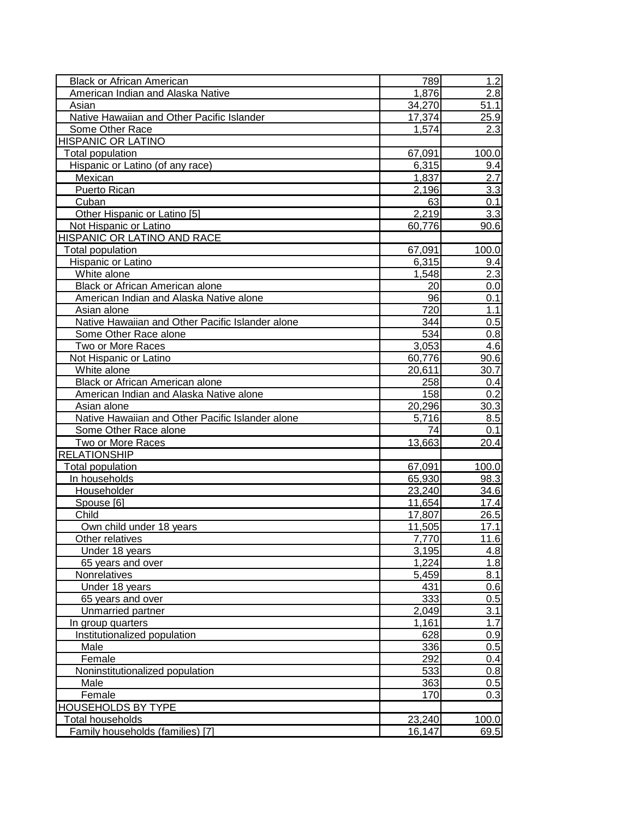| <b>Black or African American</b>                 | 789    | 1.2   |
|--------------------------------------------------|--------|-------|
| American Indian and Alaska Native                | 1,876  | 2.8   |
| Asian                                            | 34,270 | 51.1  |
| Native Hawaiian and Other Pacific Islander       | 17,374 | 25.9  |
| Some Other Race                                  | 1,574  | 2.3   |
| <b>HISPANIC OR LATINO</b>                        |        |       |
| Total population                                 | 67,091 | 100.0 |
| Hispanic or Latino (of any race)                 | 6,315  | 9.4   |
| Mexican                                          | 1,837  | 2.7   |
| Puerto Rican                                     | 2,196  | 3.3   |
| Cuban                                            | 63     | 0.1   |
| Other Hispanic or Latino [5]                     | 2,219  | 3.3   |
| Not Hispanic or Latino                           | 60,776 | 90.6  |
| HISPANIC OR LATINO AND RACE                      |        |       |
| Total population                                 | 67,091 | 100.0 |
| Hispanic or Latino                               | 6,315  | 9.4   |
| White alone                                      | 1,548  | 2.3   |
| Black or African American alone                  | 20     | 0.0   |
| American Indian and Alaska Native alone          | 96     | 0.1   |
| Asian alone                                      | 720    | 1.1   |
| Native Hawaiian and Other Pacific Islander alone | 344    | 0.5   |
| Some Other Race alone                            | 534    | 0.8   |
| Two or More Races                                | 3,053  | 4.6   |
| Not Hispanic or Latino                           | 60,776 | 90.6  |
| White alone                                      | 20,611 | 30.7  |
| Black or African American alone                  | 258    | 0.4   |
| American Indian and Alaska Native alone          | 158    | 0.2   |
| Asian alone                                      | 20,296 | 30.3  |
| Native Hawaiian and Other Pacific Islander alone | 5,716  | 8.5   |
| Some Other Race alone                            | 74     | 0.1   |
| Two or More Races                                | 13,663 | 20.4  |
| <b>RELATIONSHIP</b>                              |        |       |
| Total population                                 | 67,091 | 100.0 |
| In households                                    | 65,930 | 98.3  |
| Householder                                      | 23,240 | 34.6  |
| Spouse [6]                                       | 11,654 | 17.4  |
| Child                                            | 17,807 | 26.5  |
| Own child under 18 years                         | 11,505 | 17.1  |
| Other relatives                                  | 7,770  | 11.6  |
| Under 18 years                                   | 3,195  | 4.8   |
| 65 years and over                                | 1,224  | 1.8   |
| Nonrelatives                                     | 5,459  | 8.1   |
| Under 18 years                                   | 431    | 0.6   |
| 65 years and over                                | 333    | 0.5   |
| Unmarried partner                                | 2,049  | 3.1   |
| In group quarters                                | 1,161  | 1.7   |
| Institutionalized population                     | 628    | 0.9   |
| Male                                             | 336    | 0.5   |
| Female                                           | 292    | 0.4   |
| Noninstitutionalized population                  | 533    | 0.8   |
| Male                                             | 363    | 0.5   |
| Female                                           | 170    | 0.3   |
| <b>HOUSEHOLDS BY TYPE</b>                        |        |       |
| Total households                                 | 23,240 | 100.0 |
| Family households (families) [7]                 | 16,147 | 69.5  |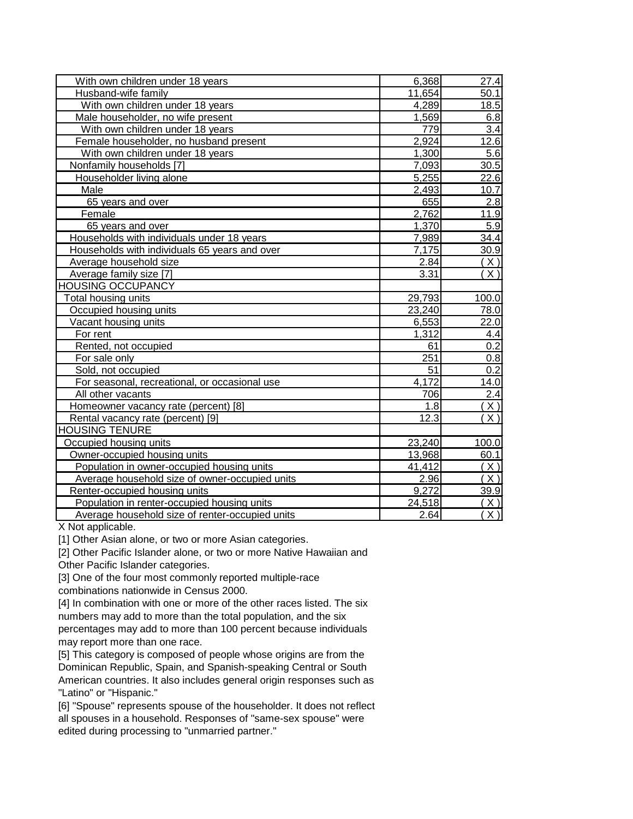| With own children under 18 years                | 6,368  | 27.4             |
|-------------------------------------------------|--------|------------------|
| Husband-wife family                             | 11,654 | 50.1             |
| With own children under 18 years                | 4,289  | 18.5             |
| Male householder, no wife present               | 1,569  | 6.8              |
| With own children under 18 years                | 779    | 3.4              |
| Female householder, no husband present          | 2,924  | 12.6             |
| With own children under 18 years                | 1,300  | 5.6              |
| Nonfamily households [7]                        | 7,093  | 30.5             |
| Householder living alone                        | 5,255  | 22.6             |
| Male                                            | 2,493  | 10.7             |
| 65 years and over                               | 655    | 2.8              |
| Female                                          | 2,762  | 11.9             |
| 65 years and over                               | 1,370  | 5.9              |
| Households with individuals under 18 years      | 7,989  | 34.4             |
| Households with individuals 65 years and over   | 7,175  | 30.9             |
| Average household size                          | 2.84   | <u>X)</u>        |
| Average family size [7]                         | 3.31   | X)               |
| <b>HOUSING OCCUPANCY</b>                        |        |                  |
| Total housing units                             | 29,793 | 100.0            |
| Occupied housing units                          | 23,240 | 78.0             |
| Vacant housing units                            | 6,553  | 22.0             |
| For rent                                        | 1,312  | 4.4              |
| Rented, not occupied                            | 61     | 0.2              |
| For sale only                                   | 251    | 0.8              |
| Sold, not occupied                              | 51     | 0.2              |
| For seasonal, recreational, or occasional use   | 4,172  | 14.0             |
| All other vacants                               | 706    | 2.4              |
| Homeowner vacancy rate (percent) [8]            | 1.8    | X)               |
| Rental vacancy rate (percent) [9]               | 12.3   | X)               |
| <b>HOUSING TENURE</b>                           |        |                  |
| Occupied housing units                          | 23,240 | 100.0            |
| Owner-occupied housing units                    | 13,968 | 60.1             |
| Population in owner-occupied housing units      | 41,412 | X)               |
| Average household size of owner-occupied units  | 2.96   | $(\overline{X})$ |
| Renter-occupied housing units                   | 9,272  | 39.9             |
| Population in renter-occupied housing units     | 24,518 | X)               |
| Average household size of renter-occupied units | 2.64   | $\overline{X}$   |

X Not applicable.

[1] Other Asian alone, or two or more Asian categories.

[2] Other Pacific Islander alone, or two or more Native Hawaiian and

Other Pacific Islander categories.

[3] One of the four most commonly reported multiple-race

combinations nationwide in Census 2000.

[4] In combination with one or more of the other races listed. The six numbers may add to more than the total population, and the six percentages may add to more than 100 percent because individuals may report more than one race.

[5] This category is composed of people whose origins are from the Dominican Republic, Spain, and Spanish-speaking Central or South American countries. It also includes general origin responses such as "Latino" or "Hispanic."

[6] "Spouse" represents spouse of the householder. It does not reflect all spouses in a household. Responses of "same-sex spouse" were edited during processing to "unmarried partner."